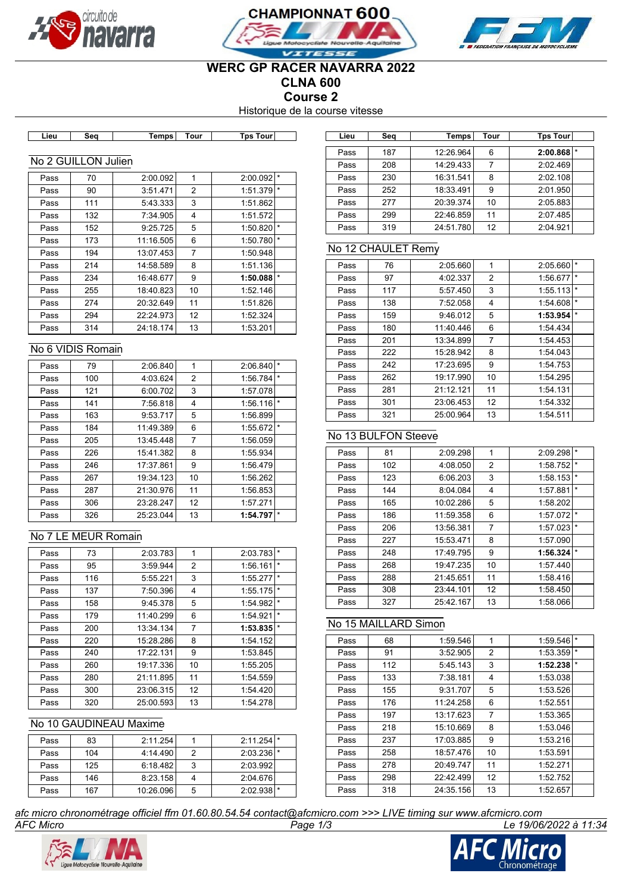





## **WERC GP RACER NAVARRA 2022 CLNA 600**

**Course 2**

Historique de la course vitesse

| ∟ieu<br>sea | Tour<br>Tempsl | <b>Tps Tourl</b> |
|-------------|----------------|------------------|
|-------------|----------------|------------------|

## No 2 GUILLON Julien

| Pass | 70  | 2:00.092  | 1  | 2:00.092 |         |
|------|-----|-----------|----|----------|---------|
| Pass | 90  | 3:51.471  | 2  | 1:51.379 | l *     |
| Pass | 111 | 5:43.333  | 3  | 1:51.862 |         |
| Pass | 132 | 7:34.905  | 4  | 1:51.572 |         |
| Pass | 152 | 9:25.725  | 5  | 1:50.820 | $\star$ |
| Pass | 173 | 11:16.505 | 6  | 1:50.780 | $\star$ |
| Pass | 194 | 13:07.453 | 7  | 1:50.948 |         |
| Pass | 214 | 14:58.589 | 8  | 1:51.136 |         |
| Pass | 234 | 16:48.677 | 9  | 1:50.088 | *       |
| Pass | 255 | 18:40.823 | 10 | 1:52.146 |         |
| Pass | 274 | 20:32.649 | 11 | 1:51.826 |         |
| Pass | 294 | 22:24.973 | 12 | 1:52.324 |         |
| Pass | 314 | 24:18.174 | 13 | 1:53.201 |         |

### No 6 VIDIS Romain

| Pass | 79  | 2:06.840  | 1  | 2:06.840 | $\star$  |
|------|-----|-----------|----|----------|----------|
| Pass | 100 | 4:03.624  | 2  | 1:56.784 | $\star$  |
| Pass | 121 | 6:00.702  | 3  | 1:57.078 |          |
| Pass | 141 | 7:56.818  | 4  | 1:56.116 | $\star$  |
| Pass | 163 | 9:53.717  | 5  | 1:56.899 |          |
| Pass | 184 | 11:49.389 | 6  | 1:55.672 | $^\star$ |
| Pass | 205 | 13:45.448 | 7  | 1:56.059 |          |
| Pass | 226 | 15:41.382 | 8  | 1:55.934 |          |
| Pass | 246 | 17:37.861 | 9  | 1:56.479 |          |
| Pass | 267 | 19:34.123 | 10 | 1:56.262 |          |
| Pass | 287 | 21:30.976 | 11 | 1:56.853 |          |
| Pass | 306 | 23:28.247 | 12 | 1:57.271 |          |
| Pass | 326 | 25:23.044 | 13 | 1:54.797 | $\star$  |

### No 7 LE MEUR Romain

| Pass | 73  | 2:03.783  | 1              | 2:03.783 | $\star$ |
|------|-----|-----------|----------------|----------|---------|
| Pass | 95  | 3:59.944  | 2              | 1:56.161 | $\star$ |
| Pass | 116 | 5:55.221  | 3              | 1:55.277 | $\star$ |
| Pass | 137 | 7:50.396  | 4              | 1:55.175 | $\star$ |
| Pass | 158 | 9:45.378  | 5              | 1:54.982 | $\star$ |
| Pass | 179 | 11:40.299 | 6              | 1:54.921 | $\star$ |
| Pass | 200 | 13:34.134 | $\overline{7}$ | 1:53.835 | $\star$ |
| Pass | 220 | 15:28.286 | 8              | 1:54.152 |         |
| Pass | 240 | 17:22.131 | 9              | 1:53.845 |         |
| Pass | 260 | 19:17.336 | 10             | 1:55.205 |         |
| Pass | 280 | 21:11.895 | 11             | 1:54.559 |         |
| Pass | 300 | 23:06.315 | 12             | 1:54.420 |         |
| Pass | 320 | 25:00.593 | 13             | 1:54.278 |         |

### No 10 GAUDINEAU Maxime

| Pass | 83  | 2:11.254  |   | $2:11.254$ <sup>*</sup> |  |
|------|-----|-----------|---|-------------------------|--|
| Pass | 104 | 4:14.490  |   | $2:03.236$ *            |  |
| Pass | 125 | 6:18.482  |   | 2:03.992                |  |
| Pass | 146 | 8:23.158  |   | 2:04.676                |  |
| Pass | 167 | 10:26.096 | 5 | 2:02.938                |  |

| Lieu             | Sea | Temps    | Tour | Tps Tour                |  | Lieu | Seg | Temps     | Tour | <b>Tps Tour</b> |
|------------------|-----|----------|------|-------------------------|--|------|-----|-----------|------|-----------------|
|                  |     |          |      |                         |  | Pass | 187 | 12:26.964 | 6    | $2:00.868$ *    |
| 2 GUILLON Julien |     |          |      |                         |  |      | 208 | 14:29.433 |      | 2:02.469        |
| Pass             | 70  | 2:00.092 |      | $2:00.092$ <sup>*</sup> |  | Pass | 230 | 16:31.541 | 8    | 2:02.108        |
| Pass             | 90  | 3:51.471 | 2    | $1:51.379$ <sup>*</sup> |  | Pass | 252 | 18:33.491 | 9    | 2:01.950        |
| Pass             | 111 | 5:43.333 | 3    | 1:51.862                |  | Pass | 277 | 20:39.374 | 10   | 2:05.883        |
| Pass             | 132 | 7:34.905 | 4    | 1:51.572                |  | Pass | 299 | 22:46.859 | 11   | 2:07.485        |
| Pass             | 152 | 9:25.725 | 5    | $1:50.820$ <sup>*</sup> |  | Pass | 319 | 24:51.780 | 12   | 2:04.921        |

### No 12 CHAULET Remy

| Pass | 76  | 2:05.660  | 1  | 2:05.660 | $\star$ |
|------|-----|-----------|----|----------|---------|
| Pass | 97  | 4:02.337  | 2  | 1:56.677 | $\star$ |
| Pass | 117 | 5:57.450  | 3  | 1:55.113 | $\star$ |
| Pass | 138 | 7:52.058  | 4  | 1:54.608 | $\star$ |
| Pass | 159 | 9:46.012  | 5  | 1:53.954 | $\star$ |
| Pass | 180 | 11:40.446 | 6  | 1:54.434 |         |
| Pass | 201 | 13:34.899 | 7  | 1:54.453 |         |
| Pass | 222 | 15:28.942 | 8  | 1:54.043 |         |
| Pass | 242 | 17:23.695 | 9  | 1:54.753 |         |
| Pass | 262 | 19:17.990 | 10 | 1:54.295 |         |
| Pass | 281 | 21:12.121 | 11 | 1:54.131 |         |
| Pass | 301 | 23:06.453 | 12 | 1:54.332 |         |
| Pass | 321 | 25:00.964 | 13 | 1:54.511 |         |

# No 13 BULFON Steeve

| Pass | 81  | 2:09.298  | 1  | 2:09.298 | $\star$ |
|------|-----|-----------|----|----------|---------|
| Pass | 102 | 4:08.050  | 2  | 1:58.752 | $\star$ |
| Pass | 123 | 6:06.203  | 3  | 1:58.153 | $\star$ |
| Pass | 144 | 8:04.084  | 4  | 1:57.881 | $\star$ |
| Pass | 165 | 10:02.286 | 5  | 1:58.202 |         |
| Pass | 186 | 11:59.358 | 6  | 1:57.072 | $\star$ |
| Pass | 206 | 13:56.381 | 7  | 1:57.023 | $\star$ |
| Pass | 227 | 15:53.471 | 8  | 1:57.090 |         |
| Pass | 248 | 17:49.795 | 9  | 1:56.324 | $\star$ |
| Pass | 268 | 19:47.235 | 10 | 1:57.440 |         |
| Pass | 288 | 21:45.651 | 11 | 1:58.416 |         |
| Pass | 308 | 23:44.101 | 12 | 1:58.450 |         |
| Pass | 327 | 25:42.167 | 13 | 1:58.066 |         |

## No 15 MAILLARD Simon

| Pass | 68  | 1:59.546  | 1  | 1:59.546 | $\star$ |
|------|-----|-----------|----|----------|---------|
| Pass | 91  | 3:52.905  | 2  | 1:53.359 | $\star$ |
| Pass | 112 | 5:45.143  | 3  | 1:52.238 | $\star$ |
| Pass | 133 | 7:38.181  | 4  | 1:53.038 |         |
| Pass | 155 | 9:31.707  | 5  | 1:53.526 |         |
| Pass | 176 | 11:24.258 | 6  | 1:52.551 |         |
| Pass | 197 | 13:17.623 | 7  | 1:53.365 |         |
| Pass | 218 | 15:10.669 | 8  | 1:53.046 |         |
| Pass | 237 | 17:03.885 | 9  | 1:53.216 |         |
| Pass | 258 | 18:57.476 | 10 | 1:53.591 |         |
| Pass | 278 | 20:49.747 | 11 | 1:52.271 |         |
| Pass | 298 | 22:42.499 | 12 | 1:52.752 |         |
| Pass | 318 | 24:35.156 | 13 | 1:52.657 |         |

*AFC Micro Page 1/3 Le 19/06/2022 à 11:34 afc micro chronométrage officiel ffm 01.60.80.54.54 contact@afcmicro.com >>> LIVE timing sur www.afcmicro.com*



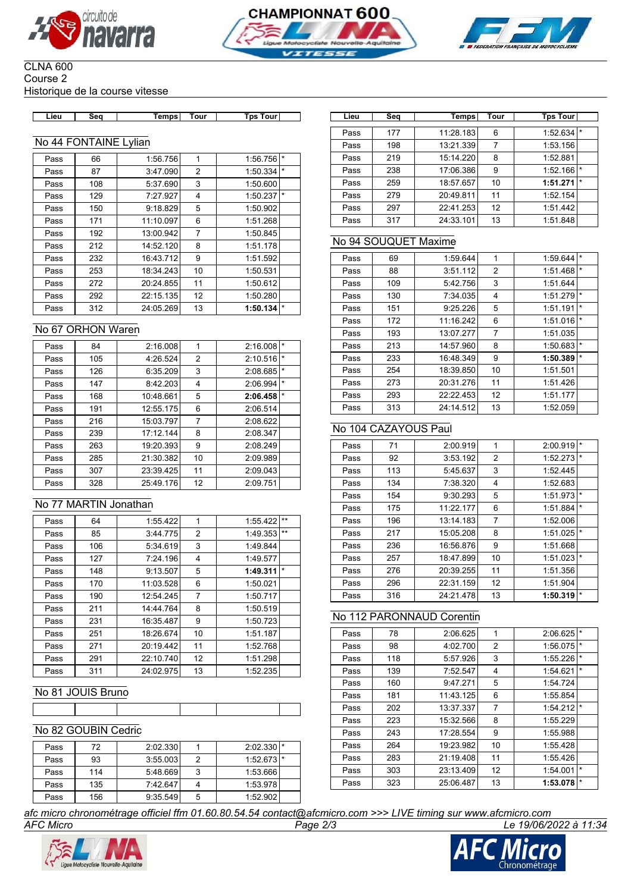





#### CLNA 600 Course 2 Historique de la course vitesse

| -ieu | Sea | Temps I | Tour | Tps Tour |  |
|------|-----|---------|------|----------|--|

### No 44 FONTAINE Lylian

| Pass | 66  | 1:56.756  | 1  | 1:56.756 | $\star$ |
|------|-----|-----------|----|----------|---------|
| Pass | 87  | 3:47.090  | 2  | 1:50.334 | $\star$ |
| Pass | 108 | 5:37.690  | 3  | 1:50.600 |         |
| Pass | 129 | 7:27.927  | 4  | 1:50.237 | $\star$ |
| Pass | 150 | 9:18.829  | 5  | 1:50.902 |         |
| Pass | 171 | 11:10.097 | 6  | 1:51.268 |         |
| Pass | 192 | 13:00.942 | 7  | 1:50.845 |         |
| Pass | 212 | 14:52.120 | 8  | 1:51.178 |         |
| Pass | 232 | 16:43.712 | 9  | 1:51.592 |         |
| Pass | 253 | 18:34.243 | 10 | 1:50.531 |         |
| Pass | 272 | 20:24.855 | 11 | 1:50.612 |         |
| Pass | 292 | 22:15.135 | 12 | 1:50.280 |         |
| Pass | 312 | 24:05.269 | 13 | 1:50.134 | $\star$ |

#### No 67 ORHON Waren

| Pass | 84  | 2:16.008  | 1              | 2:16.008 | $\star$ |
|------|-----|-----------|----------------|----------|---------|
| Pass | 105 | 4:26.524  | $\overline{2}$ | 2:10.516 | $\star$ |
| Pass | 126 | 6:35.209  | 3              | 2:08.685 | $\star$ |
| Pass | 147 | 8:42.203  | 4              | 2:06.994 | $\star$ |
| Pass | 168 | 10:48.661 | 5              | 2:06.458 | $\star$ |
| Pass | 191 | 12:55.175 | 6              | 2:06.514 |         |
| Pass | 216 | 15:03.797 | $\overline{7}$ | 2:08.622 |         |
| Pass | 239 | 17:12.144 | 8              | 2:08.347 |         |
| Pass | 263 | 19:20.393 | 9              | 2:08.249 |         |
| Pass | 285 | 21:30.382 | 10             | 2:09.989 |         |
| Pass | 307 | 23:39.425 | 11             | 2:09.043 |         |
| Pass | 328 | 25:49.176 | 12             | 2:09.751 |         |

### No 77 MARTIN Jonathan

| Pass | 64  | 1:55.422  | 1  | $***$<br>1:55.422   |  |
|------|-----|-----------|----|---------------------|--|
| Pass | 85  | 3:44.775  | 2  | $***$<br>1:49.353   |  |
| Pass | 106 | 5:34.619  | 3  | 1:49.844            |  |
| Pass | 127 | 7:24.196  | 4  | 1:49.577            |  |
| Pass | 148 | 9:13.507  | 5  | $\star$<br>1:49.311 |  |
| Pass | 170 | 11:03.528 | 6  | 1:50.021            |  |
| Pass | 190 | 12:54.245 | 7  | 1:50.717            |  |
| Pass | 211 | 14:44.764 | 8  | 1:50.519            |  |
| Pass | 231 | 16:35.487 | 9  | 1:50.723            |  |
| Pass | 251 | 18:26.674 | 10 | 1:51.187            |  |
| Pass | 271 | 20:19.442 | 11 | 1:52.768            |  |
| Pass | 291 | 22:10.740 | 12 | 1:51.298            |  |
| Pass | 311 | 24:02.975 | 13 | 1:52.235            |  |

# No 81 JOUIS Bruno

### No 82 GOUBIN Cedric

| Pass | 72  | 2:02.330 |   | $2:02.330$ * |  |
|------|-----|----------|---|--------------|--|
| Pass | 93  | 3:55.003 | 2 | $1:52.673$ * |  |
| Pass | 114 | 5:48.669 | 3 | 1:53.666     |  |
| Pass | 135 | 7:42.647 |   | 1:53.978     |  |
| Pass | 156 | 9:35.549 | 5 | 1:52.902     |  |

**Lieu Seq Temps Tour Tps Tour Lieu Seq Temps Tour Tps Tour** Pass 177 11:28.183 6 1:52.634 Pass 198 13:21.339 7 1:53.156 Pass 219 15:14.220 8 1:52.881 Pass 238 17:06.386 9 1:52.166 Pass 259 18:57.657 10 1:**51.271** Pass 279 20:49.811 11 1:52.154 Pass 297 22:41.253 12 1:51.442 Pass 317 24:33.101 13 1:51.848

### No 94 SOUQUET Maxime

| Pass | 69  | 1:59.644  | 1  | 1:59.644 | $\star$ |
|------|-----|-----------|----|----------|---------|
| Pass | 88  | 3:51.112  | 2  | 1:51.468 | $\star$ |
| Pass | 109 | 5:42.756  | 3  | 1:51.644 |         |
| Pass | 130 | 7:34.035  | 4  | 1:51.279 | $\star$ |
| Pass | 151 | 9:25.226  | 5  | 1:51.191 | $\star$ |
| Pass | 172 | 11:16.242 | 6  | 1:51.016 | $\star$ |
| Pass | 193 | 13:07.277 | 7  | 1:51.035 |         |
| Pass | 213 | 14:57.960 | 8  | 1:50.683 | $\star$ |
| Pass | 233 | 16:48.349 | 9  | 1:50.389 | $\star$ |
| Pass | 254 | 18:39.850 | 10 | 1:51.501 |         |
| Pass | 273 | 20:31.276 | 11 | 1:51.426 |         |
| Pass | 293 | 22:22.453 | 12 | 1:51.177 |         |
| Pass | 313 | 24:14.512 | 13 | 1:52.059 |         |

## No 104 CAZAYOUS Paul

| Pass | 71  | 2:00.919  | 1  | 2:00.919 | $\star$ |
|------|-----|-----------|----|----------|---------|
| Pass | 92  | 3:53.192  | 2  | 1:52.273 | $\star$ |
| Pass | 113 | 5:45.637  | 3  | 1:52.445 |         |
| Pass | 134 | 7:38.320  | 4  | 1:52.683 |         |
| Pass | 154 | 9:30.293  | 5  | 1:51.973 | $\star$ |
| Pass | 175 | 11:22.177 | 6  | 1:51.884 | $\star$ |
| Pass | 196 | 13:14.183 | 7  | 1:52.006 |         |
| Pass | 217 | 15:05.208 | 8  | 1:51.025 | $\star$ |
| Pass | 236 | 16:56.876 | 9  | 1:51.668 |         |
| Pass | 257 | 18:47.899 | 10 | 1:51.023 | $\star$ |
| Pass | 276 | 20:39.255 | 11 | 1:51.356 |         |
| Pass | 296 | 22:31.159 | 12 | 1:51.904 |         |
| Pass | 316 | 24:21.478 | 13 | 1:50.319 | $\star$ |

### No 112 PARONNAUD Corentin

| Pass | 78  | 2:06.625  | 1  | 2:06.625 | *       |
|------|-----|-----------|----|----------|---------|
| Pass | 98  | 4:02.700  | 2  | 1:56.075 | $\star$ |
| Pass | 118 | 5:57.926  | 3  | 1:55.226 | $\star$ |
| Pass | 139 | 7:52.547  | 4  | 1:54.621 | $\star$ |
| Pass | 160 | 9:47.271  | 5  | 1:54.724 |         |
| Pass | 181 | 11:43.125 | 6  | 1:55.854 |         |
| Pass | 202 | 13:37.337 | 7  | 1:54.212 | $\star$ |
| Pass | 223 | 15:32.566 | 8  | 1:55.229 |         |
| Pass | 243 | 17:28.554 | 9  | 1:55.988 |         |
| Pass | 264 | 19:23.982 | 10 | 1:55.428 |         |
| Pass | 283 | 21:19.408 | 11 | 1:55.426 |         |
| Pass | 303 | 23:13.409 | 12 | 1:54.001 | $\star$ |
| Pass | 323 | 25:06.487 | 13 | 1:53.078 | $\star$ |

*AFC Micro Page 2/3 Le 19/06/2022 à 11:34 afc micro chronométrage officiel ffm 01.60.80.54.54 contact@afcmicro.com >>> LIVE timing sur www.afcmicro.com*